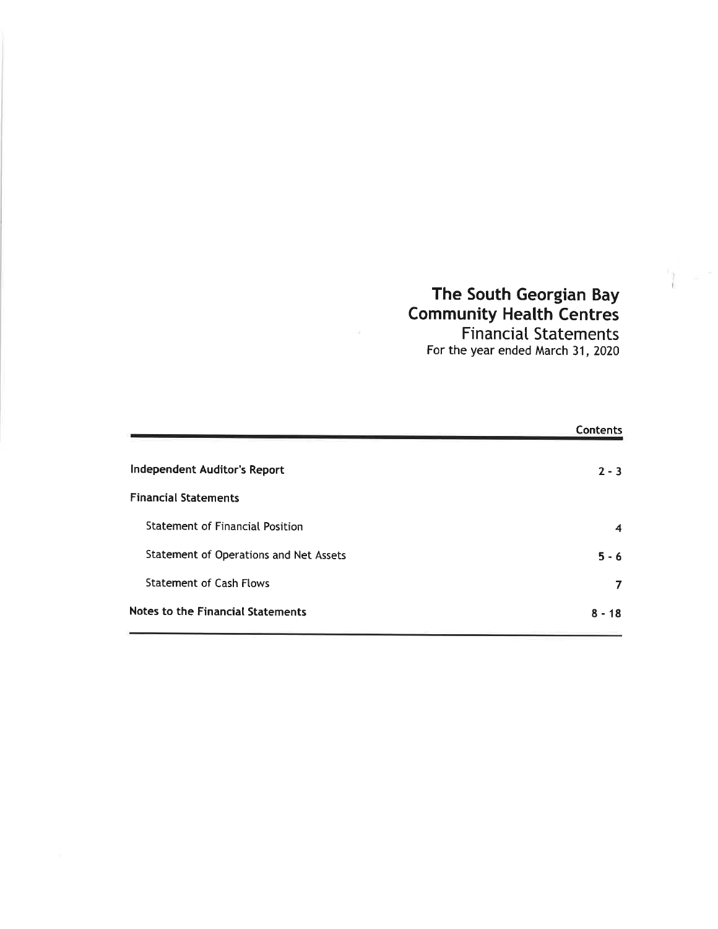# The South Georgian Bay Community Health Centres Financiat Statements

For the year ended March 31,2020

|                                        | <b>Contents</b>      |
|----------------------------------------|----------------------|
| Independent Auditor's Report           | $2 - 3$              |
| <b>Financial Statements</b>            |                      |
| <b>Statement of Financial Position</b> | 4                    |
| Statement of Operations and Net Assets | $5 - 6$              |
| <b>Statement of Cash Flows</b>         |                      |
| Notes to the Financial Statements      | $\mathbf{R}$ -<br>18 |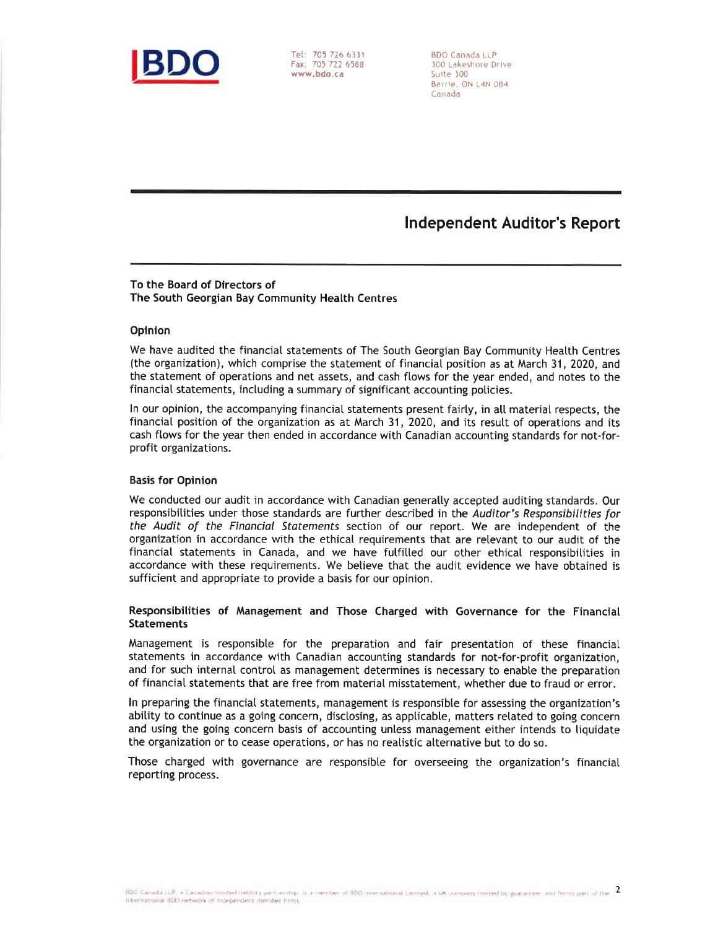

Fax: 705 722 6588 www.bdo.ca

8DO Canada LLP 300 Lakeshore Drive Suite 300 Barrie. ON L4N 0B4 Canada

# lndependent Auditor's Report

#### To the Board of Directors of The South Georgian Bay Community Heatth Centres

#### Opinion

We have audited the financial statements of The South Georgian Bay Community Heatth Centres (the organization), which comprise the statement of financial position as at March 31, 2020, and the statement of operations and net assets, and cash ftows for the year ended, and notes to the financial statements, including a summary of significant accounting poticies.

ln our opinion, the accompanying financiaI statements present fairty, in atl material respects, the financial position of the organization as at March 31, 2020, and its result of operations and its cash ftows for the year then ended in accordance with Canadian accounting standards for not-forprofit organizations.

#### Basis for Opinion

We conducted our audit in accordance with Canadian generally accepted auditing standards. Our responsibilities under those standards are further described in the Auditor's Responsibilities for the Audit of the Financial Statements section of our report. We are independent of the organization in accordance with the ethical requirements that are relevant to our audit of the financial statements in Canada, and we have futfitted our other ethical responsibilities in accordance with these requirements. We believe that the audit evidence we have obtained is sufficient and appropriate to provide a basis for our opinion.

#### Responsibitities of Management and Those Charged with Governance for the Financial Statements

Management is responsibte for the preparation and fair presentation of these financial statements in accordance with Canadian accounting standards for not-for-profit organization, and for such internal control as management determines is necessary to enable the preparation of financial statements that are free from material misstatement, whether due to fraud or error.

In preparing the financial statements, management is responsible for assessing the organization's ability to continue as a going concern, disclosing, as applicable, matters related to going concern and using the going concern basis of accounting unless management either intends to liquidate the organization or to cease operations, or has no reatistic alternative but to do so.

Those charged with governance are responsible for overseeing the organization's financial reporting process.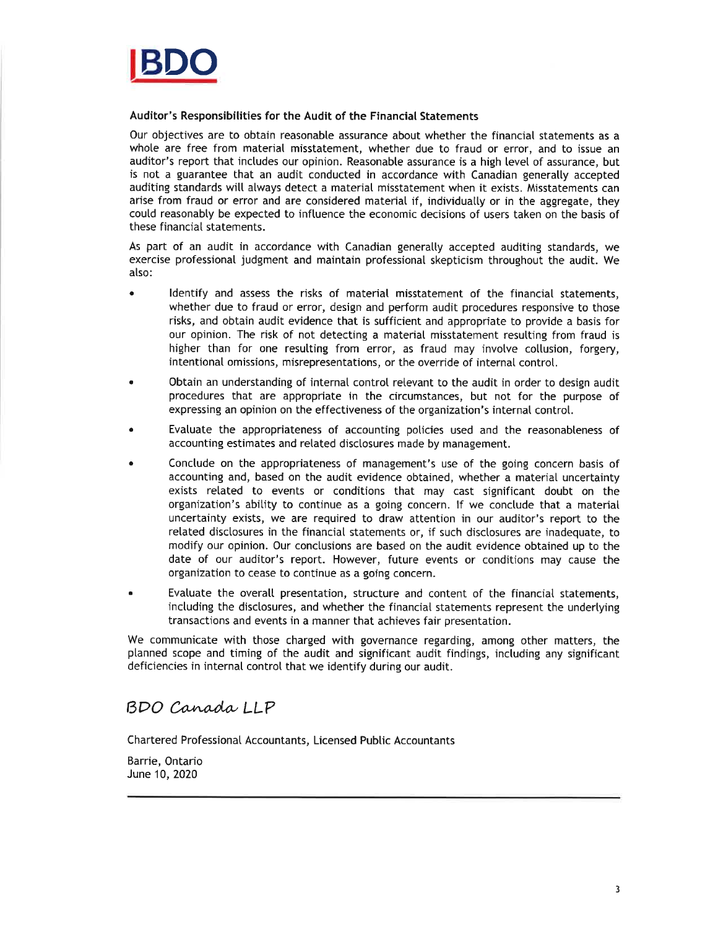

#### Auditor's Responsibilities for the Audit of the Financial Statements

Our objectives are to obtain reasonable assurance about whether the financial statements as a whole are free from material misstatement, whether due to fraud or error, and to issue an auditor's report that includes our opinion. Reasonable assurance is a high level of assurance, but is not a guarantee that an audit conducted in accordance with Canadian generalty accepted auditing standards will always detect a material misstatement when it exists. Misstatements can arise from fraud or error and are considered material if, individually or in the aggregate, they coutd reasonabty be expected to inftuence the economic decisions of users taken on the basis of these financiaI statements.

As part of an audit in accordance with Canadian generatty accepted auditing standards, we exercise professional judgment and maintain professional skepticism throughout the audit. We also:

- . ldentify and assess the risks of material misstatement of the financiat statements, whether due to fraud or error, design and perform audit procedures responsive to those risks, and obtain audit evidence that is sufficient and appropriate to provide a basis for our opinion. The risk of not detecting a materiat misstatement resutting from fraud is higher than for one resutting from error, as fraud may involve collusion, forgery, intentional omissions, misrepresentations, or the override of internal control.
- . Obtain an understanding of internal controt retevant to the audit in order to design audit procedures that are appropriate in the circumstances, but not for the purpose of expressing an opinion on the effectiveness of the organization's internal controt.
- . Evaluate the appropriateness of accounting poticies used and the reasonableness of accounting estimates and related disclosures made by management.
- . Conclude on the appropriateness of management's use of the going concern basis of accounting and, based on the audit evidence obtained, whether a material uncertainty exists related to events or conditions that may cast significant doubt on the organization's abitity to continue as a going concern. lf we conctude that a material uncertainty exists, we are required to draw attention in our auditor's report to the related disclosures in the financial statements or, if such disclosures are inadequate, to modify our opinion. Our conclusions are based on the audit evidence obtained up to the date of our auditor's report. However, future events or conditions may cause the organization to cease to continue as a going concern.
- . Evatuate the overatl presentation, structure and content of the financial statements, including the disclosures, and whether the financial statements represent the underlying transactions and events in a manner that achieves fair presentation.

We communicate with those charged with governance regarding, among other matters, the planned scope and timing of the audit and significant audit findings, inctuding any significant deficiencies in internal control that we identify during our audit.

# BDO Canada LLP

Chartered Professional Accountants, Licensed Public Accountants

Barrie, Ontario June 10, 2020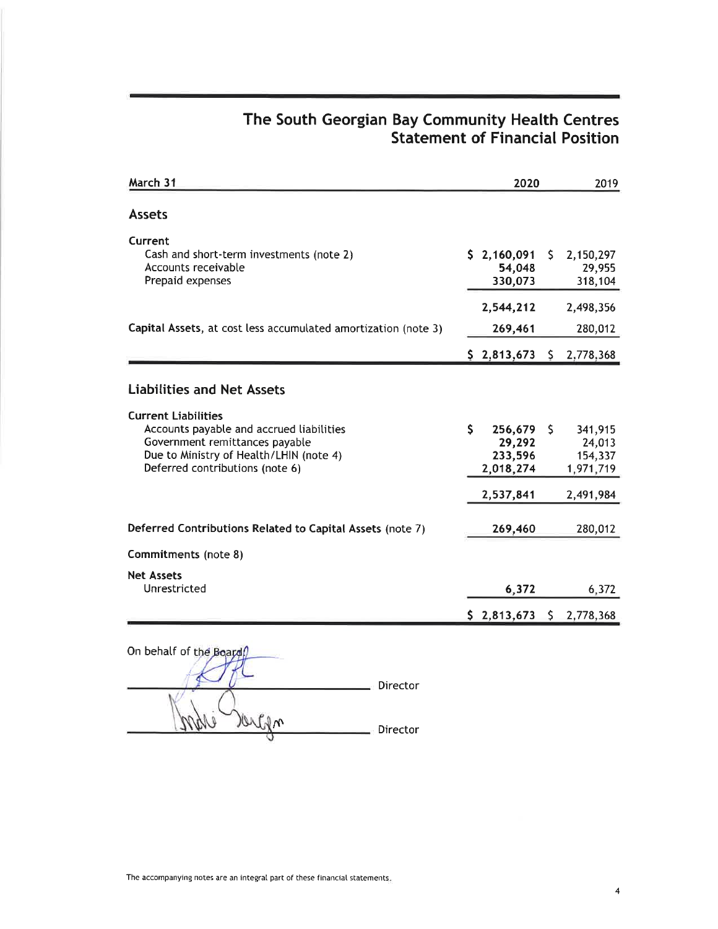# The South Georgian Bay Community Health Centres Statement of Financial Position

| March 31                                                                                                                                                                               |                                                 | 2020 |                                           |
|----------------------------------------------------------------------------------------------------------------------------------------------------------------------------------------|-------------------------------------------------|------|-------------------------------------------|
| <b>Assets</b>                                                                                                                                                                          |                                                 |      |                                           |
| Current<br>Cash and short-term investments (note 2)<br>Accounts receivable<br>Prepaid expenses                                                                                         | \$2,160,091<br>54,048<br>330,073                | S.   | 2,150,297<br>29,955<br>318,104            |
| Capital Assets, at cost less accumulated amortization (note 3)                                                                                                                         | 2,544,212<br>269,461                            |      | 2,498,356<br>280,012                      |
|                                                                                                                                                                                        | \$2,813,673                                     | S.   | 2,778,368                                 |
| <b>Liabilities and Net Assets</b>                                                                                                                                                      |                                                 |      |                                           |
| <b>Current Liabilities</b><br>Accounts payable and accrued liabilities<br>Government remittances payable<br>Due to Ministry of Health/LHIN (note 4)<br>Deferred contributions (note 6) | \$<br>256,679<br>29,292<br>233,596<br>2,018,274 | \$   | 341,915<br>24,013<br>154,337<br>1,971,719 |
|                                                                                                                                                                                        | 2,537,841                                       |      | 2,491,984                                 |
| Deferred Contributions Related to Capital Assets (note 7)                                                                                                                              | 269,460                                         |      | 280,012                                   |
| Commitments (note 8)                                                                                                                                                                   |                                                 |      |                                           |
| <b>Net Assets</b><br>Unrestricted                                                                                                                                                      | 6,372                                           |      | 6,372                                     |
|                                                                                                                                                                                        | $$2,813,673 \quad $2,778,368$                   |      |                                           |
| On behalf of the Board!<br>Director                                                                                                                                                    |                                                 |      |                                           |

Indie Sargen Director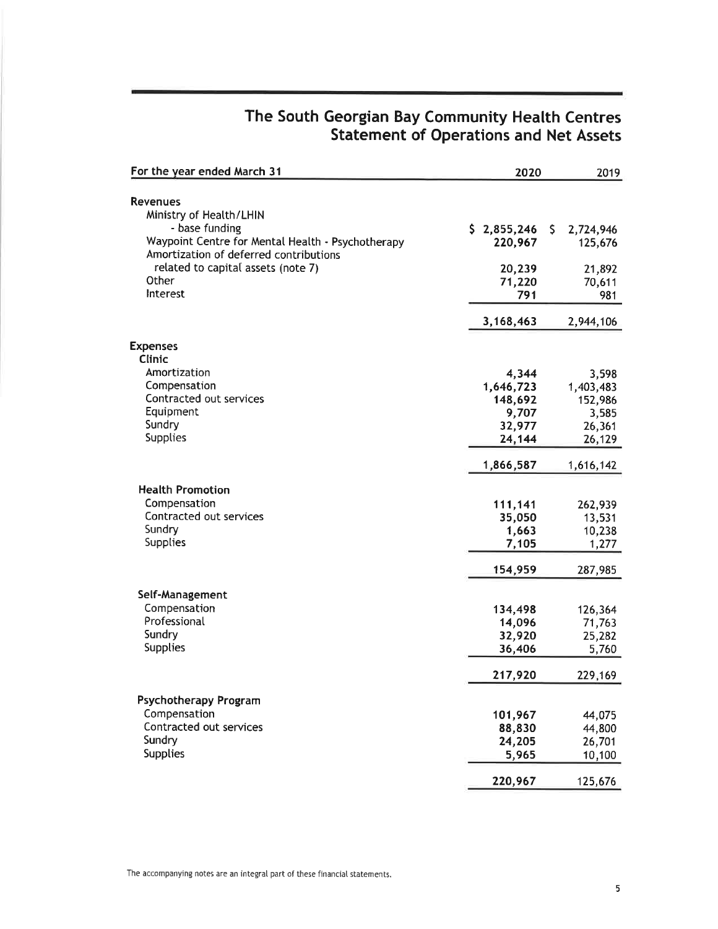| For the year ended March 31                                                                                                                                                                                            | 2020                                                       | 2019                                                       |  |
|------------------------------------------------------------------------------------------------------------------------------------------------------------------------------------------------------------------------|------------------------------------------------------------|------------------------------------------------------------|--|
| <b>Revenues</b><br>Ministry of Health/LHIN<br>- base funding<br>Waypoint Centre for Mental Health - Psychotherapy<br>Amortization of deferred contributions<br>related to capital assets (note 7)<br>Other<br>Interest | \$2,855,246<br>- \$<br>220,967<br>20,239<br>71,220<br>791  | 2,724,946<br>125,676<br>21,892<br>70,611<br>981            |  |
|                                                                                                                                                                                                                        | 3,168,463                                                  | 2,944,106                                                  |  |
| <b>Expenses</b><br><b>Clinic</b><br>Amortization<br>Compensation<br>Contracted out services<br>Equipment<br>Sundry<br><b>Supplies</b>                                                                                  | 4,344<br>1,646,723<br>148,692<br>9,707<br>32,977<br>24,144 | 3,598<br>1,403,483<br>152,986<br>3,585<br>26,361<br>26,129 |  |
| <b>Health Promotion</b><br>Compensation<br>Contracted out services<br>Sundry<br><b>Supplies</b>                                                                                                                        | 1,866,587<br>111,141<br>35,050<br>1,663<br>7,105           | 1,616,142<br>262,939<br>13,531<br>10,238<br>1,277          |  |
| Self-Management<br>Compensation<br>Professional<br>Sundry<br>Supplies                                                                                                                                                  | 154,959<br>134,498<br>14,096<br>32,920<br>36,406           | 287,985<br>126,364<br>71,763<br>25,282<br>5,760            |  |
| Psychotherapy Program<br>Compensation<br>Contracted out services<br>Sundry<br><b>Supplies</b>                                                                                                                          | 217,920<br>101,967<br>88,830<br>24,205<br>5,965<br>220,967 | 229,169<br>44,075<br>44,800<br>26,701<br>10,100<br>125,676 |  |

## The South Georgian Bay Community Health Centres Statement of Operations and Net Assets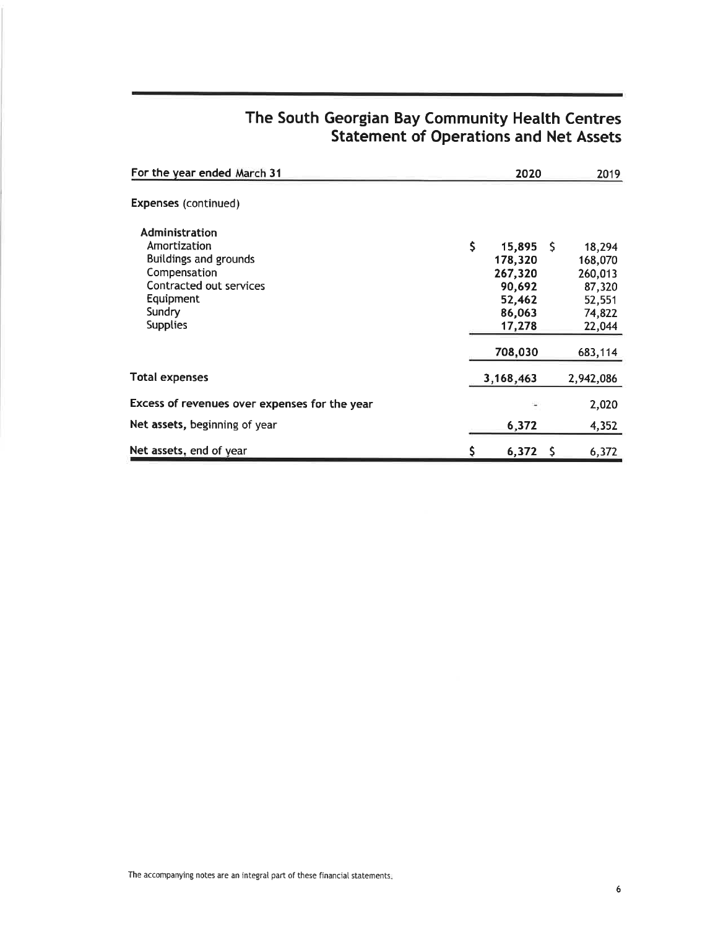| For the year ended March 31                                                                                                                                | 2020                                                                       |     | 2019                                                                 |
|------------------------------------------------------------------------------------------------------------------------------------------------------------|----------------------------------------------------------------------------|-----|----------------------------------------------------------------------|
| <b>Expenses</b> (continued)                                                                                                                                |                                                                            |     |                                                                      |
| <b>Administration</b><br>Amortization<br><b>Buildings and grounds</b><br>Compensation<br>Contracted out services<br>Equipment<br>Sundry<br><b>Supplies</b> | \$<br>15,895<br>178,320<br>267,320<br>90,692<br>52,462<br>86,063<br>17,278 | -S  | 18,294<br>168,070<br>260,013<br>87,320<br>52,551<br>74,822<br>22,044 |
|                                                                                                                                                            | 708,030                                                                    |     | 683,114                                                              |
| <b>Total expenses</b>                                                                                                                                      | 3,168,463                                                                  |     | 2,942,086                                                            |
| Excess of revenues over expenses for the year                                                                                                              |                                                                            |     | 2,020                                                                |
| Net assets, beginning of year                                                                                                                              | 6,372                                                                      |     | 4,352                                                                |
| Net assets, end of year                                                                                                                                    | \$<br>6,372                                                                | - S | 6,372                                                                |

# The South Georgian Bay Community Health Centres Statement of Operations and Net Assets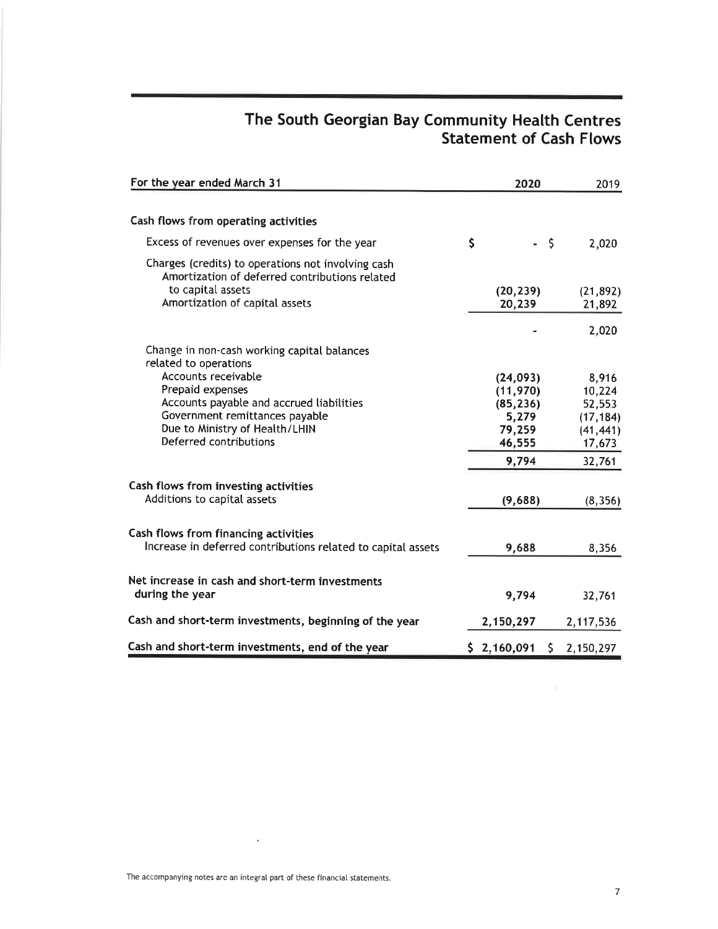# The South Georgian Bay Community Health Centres Statement of Cash Flows

| For the year ended March 31                                                                          | 2020        |     | 2019      |
|------------------------------------------------------------------------------------------------------|-------------|-----|-----------|
| Cash flows from operating activities                                                                 |             |     |           |
| Excess of revenues over expenses for the year                                                        | \$          | \$  | 2,020     |
| Charges (credits) to operations not involving cash<br>Amortization of deferred contributions related |             |     |           |
| to capital assets                                                                                    | (20, 239)   |     | (21, 892) |
| Amortization of capital assets                                                                       | 20,239      |     | 21,892    |
|                                                                                                      |             |     | 2,020     |
| Change in non-cash working capital balances<br>related to operations                                 |             |     |           |
| Accounts receivable                                                                                  | (24, 093)   |     | 8,916     |
| Prepaid expenses                                                                                     | (11, 970)   |     | 10,224    |
| Accounts payable and accrued liabilities                                                             | (85, 236)   |     | 52,553    |
| Government remittances payable                                                                       | 5,279       |     | (17, 184) |
| Due to Ministry of Health/LHIN                                                                       | 79,259      |     | (41, 441) |
| Deferred contributions                                                                               | 46,555      |     | 17,673    |
|                                                                                                      | 9,794       |     | 32,761    |
| Cash flows from investing activities                                                                 |             |     |           |
| Additions to capital assets                                                                          | (9,688)     |     | (8, 356)  |
| Cash flows from financing activities                                                                 |             |     |           |
| Increase in deferred contributions related to capital assets                                         | 9,688       |     | 8,356     |
| Net increase in cash and short-term investments                                                      |             |     |           |
| during the year                                                                                      | 9,794       |     | 32,761    |
| Cash and short-term investments, beginning of the year                                               | 2,150,297   |     | 2,117,536 |
| Cash and short-term investments, end of the year                                                     | \$2,160,091 | \$. | 2,150,297 |

The accompanying notes are an integral part of these financial statements.

 $\mathbf{E}^{(1)}_{\mathbf{X}}$  .

 $\mathcal{L}^{\mathcal{G}}$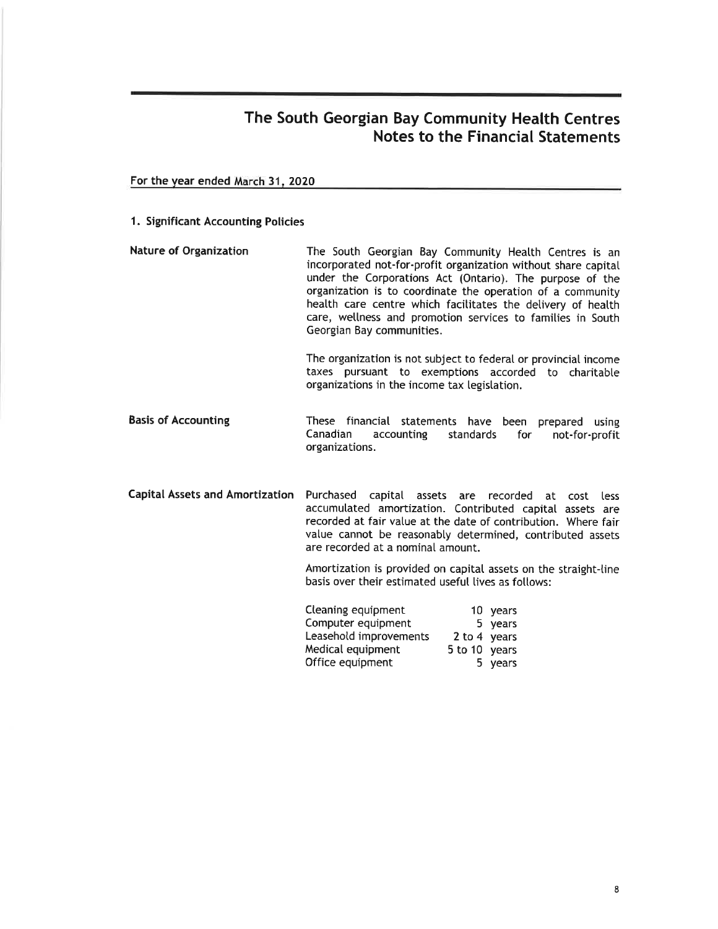#### For the year ended March 31, 2020

#### 1. Significant Accounting Policies

Nature of Organization The South Georgian Bay Community Heatth Centres is an incorporated not-for-profit organization without share capital under the Corporations Act (Ontario). The purpose of the organization is to coordinate the operation of a community heatth care centre which facititates the detivery of heatth care, wetlness and promotion services to families in South Georgian Bay communities.

> The organization is not subject to federal or provincial income taxes pursuant to exemptions accorded to charitabte organizations in the income tax legistation.

Basis of Accounting These financial statements have been prepared using<br>Canadian accounting standards for not-for-profit accounting standards for not-for-profit organizations.

Capital Assets and Amortization Purchased capital assets are recorded at cost less accumulated amortization. Contributed capitaI assets are recorded at fair value at the date of contribution. Where fair value cannot be reasonably determined, contributed assets are recorded at a nominal amount.

> Amortization is provided on capital assets on the straight-line basis over their estimated useful lives as follows:

| 10 years                      |
|-------------------------------|
| 5 years                       |
|                               |
|                               |
| 5 years                       |
| 2 to 4 years<br>5 to 10 years |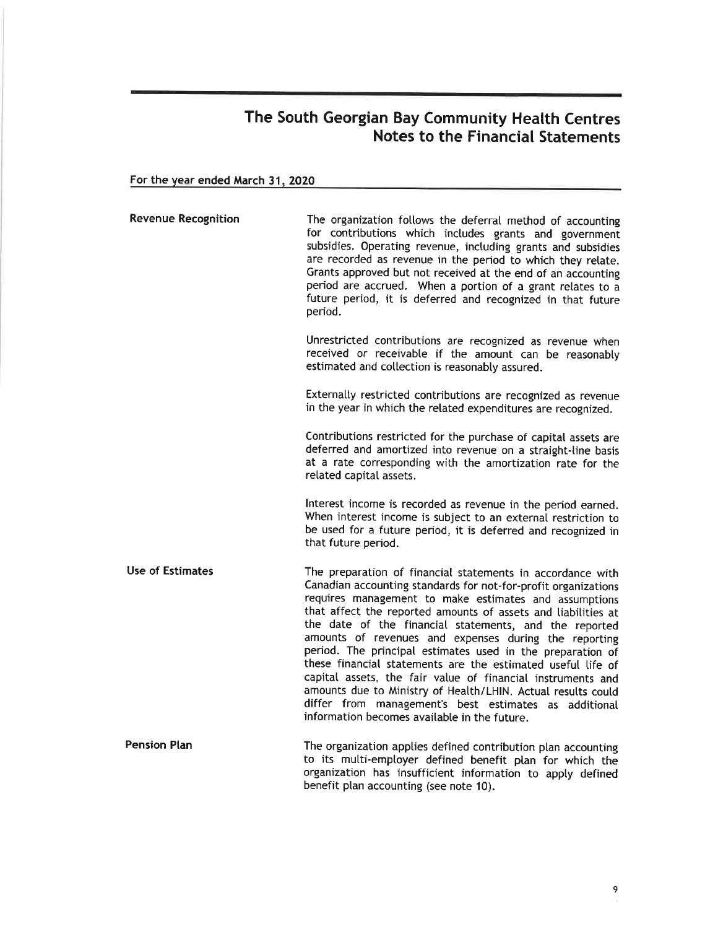### For the year ended March 31, 2020

| <b>Revenue Recognition</b> | The organization follows the deferral method of accounting<br>for contributions which includes grants and government<br>subsidies. Operating revenue, including grants and subsidies<br>are recorded as revenue in the period to which they relate.<br>Grants approved but not received at the end of an accounting<br>period are accrued. When a portion of a grant relates to a<br>future period, it is deferred and recognized in that future<br>period.                                                                                                                                                                                                                                                                                    |
|----------------------------|------------------------------------------------------------------------------------------------------------------------------------------------------------------------------------------------------------------------------------------------------------------------------------------------------------------------------------------------------------------------------------------------------------------------------------------------------------------------------------------------------------------------------------------------------------------------------------------------------------------------------------------------------------------------------------------------------------------------------------------------|
|                            | Unrestricted contributions are recognized as revenue when<br>received or receivable if the amount can be reasonably<br>estimated and collection is reasonably assured.                                                                                                                                                                                                                                                                                                                                                                                                                                                                                                                                                                         |
|                            | Externally restricted contributions are recognized as revenue<br>in the year in which the related expenditures are recognized.                                                                                                                                                                                                                                                                                                                                                                                                                                                                                                                                                                                                                 |
|                            | Contributions restricted for the purchase of capital assets are<br>deferred and amortized into revenue on a straight-line basis<br>at a rate corresponding with the amortization rate for the<br>related capital assets.                                                                                                                                                                                                                                                                                                                                                                                                                                                                                                                       |
|                            | Interest income is recorded as revenue in the period earned.<br>When interest income is subject to an external restriction to<br>be used for a future period, it is deferred and recognized in<br>that future period.                                                                                                                                                                                                                                                                                                                                                                                                                                                                                                                          |
| Use of Estimates           | The preparation of financial statements in accordance with<br>Canadian accounting standards for not-for-profit organizations<br>requires management to make estimates and assumptions<br>that affect the reported amounts of assets and liabilities at<br>the date of the financial statements, and the reported<br>amounts of revenues and expenses during the reporting<br>period. The principal estimates used in the preparation of<br>these financial statements are the estimated useful life of<br>capital assets, the fair value of financial instruments and<br>amounts due to Ministry of Health/LHIN. Actual results could<br>differ from management's best estimates as additional<br>information becomes available in the future. |
| <b>Pension Plan</b>        | The organization applies defined contribution plan accounting<br>to its multi-employer defined benefit plan for which the<br>organization has insufficient information to apply defined<br>benefit plan accounting (see note 10).                                                                                                                                                                                                                                                                                                                                                                                                                                                                                                              |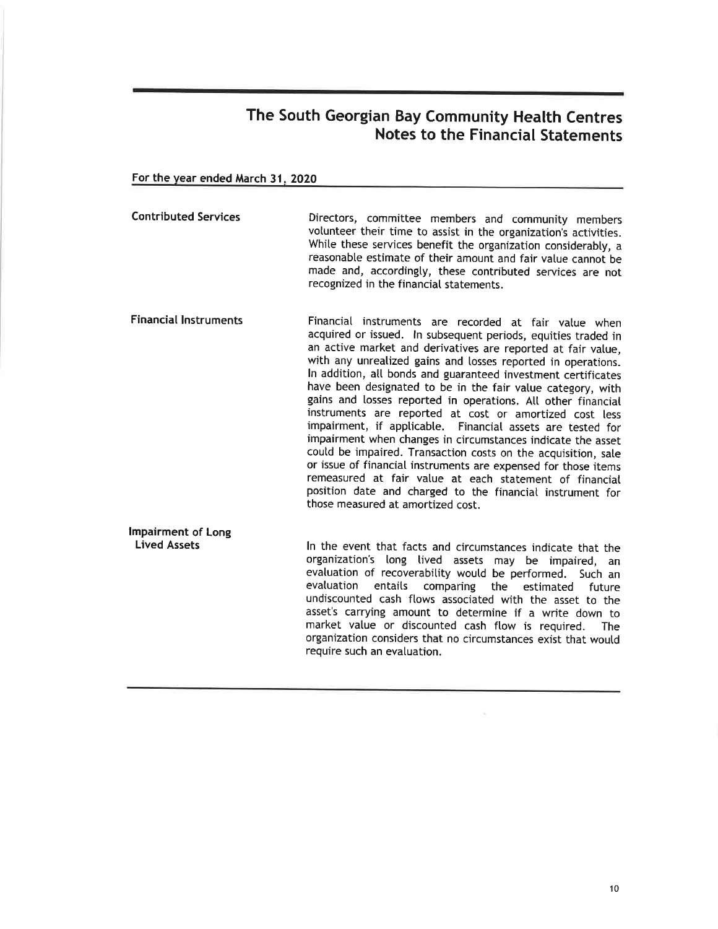For the vear ended March 31,2020

| <b>Contributed Services</b> | Directors, committee members and community members<br>volunteer their time to assist in the organization's activities.<br>While these services benefit the organization considerably, a<br>reasonable estimate of their amount and fair value cannot be<br>made and, accordingly, these contributed services are not<br>recognized in the financial statements. |
|-----------------------------|-----------------------------------------------------------------------------------------------------------------------------------------------------------------------------------------------------------------------------------------------------------------------------------------------------------------------------------------------------------------|
|-----------------------------|-----------------------------------------------------------------------------------------------------------------------------------------------------------------------------------------------------------------------------------------------------------------------------------------------------------------------------------------------------------------|

Financial Instruments Financial instruments are recorded at fair value when acquired or issued. ln subsequent periods, equities traded in an active market and derivatives are reported at fair value, with any unrealized gains and losses reported in operations. ln addition, atl bonds and guaranteed investment certificates have been designated to be in the fair value category, with gains and losses reported in operations. Att other financiat instruments are reported at cost or amortized cost less impairment, if applicable. Financial assets are tested for impairment when changes in circumstances indicate the asset coutd be impaired. Transaction costs on the acquisition, sale or issue of financial instruments are expensed for those items remeasured at fair value at each statement of financial position date and charged to the financial instrument for those measured at amortized cost.

lmpairment of Long Lived Assets ln the event that facts and circumstances indicate that the organization's long lived assets may be impaired, an evaluation of recoverability would be performed. Such an evaluation entails comparing the estimated future comparing the estimated future undiscounted cash flows associated with the asset to the asset's carrying amount to determine if a write down to market value or discounted cash flow is required. The organization considers that no circumstances exist that woutd require such an evaluation.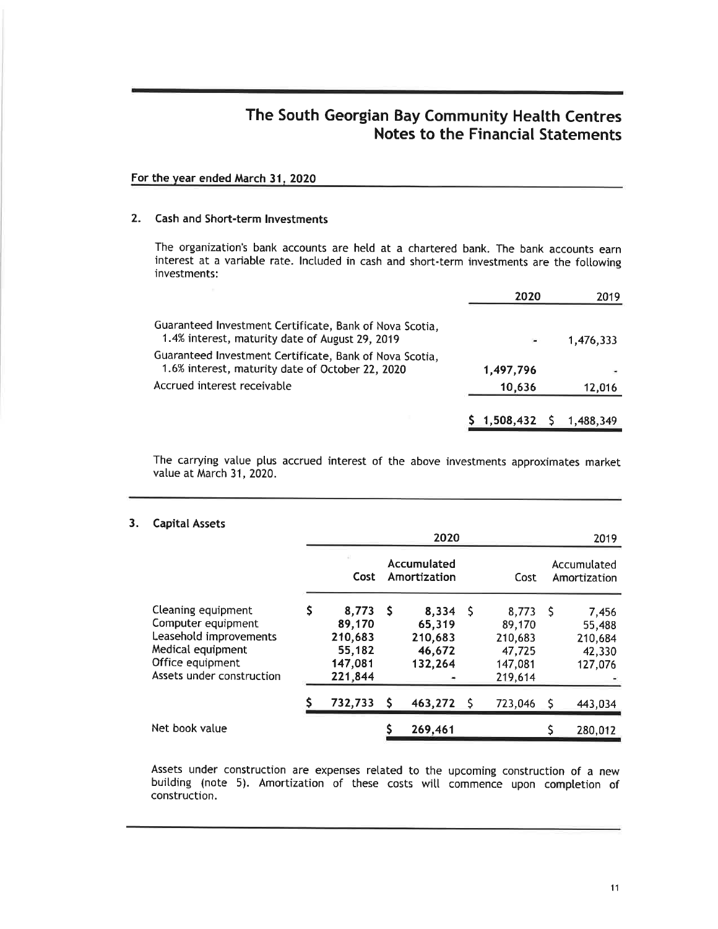### For the vear ended March 31,2020

### 2. Cash and Short-term lnvestments

The organization's bank accounts are hetd at a chartered bank. The bank accounts earn interest at a variable rate. Included in cash and short-term investments are the following investments:

|                                                                                                             | 2020            | 2019      |
|-------------------------------------------------------------------------------------------------------------|-----------------|-----------|
| Guaranteed Investment Certificate, Bank of Nova Scotia,<br>1.4% interest, maturity date of August 29, 2019  | $\bullet$       | 1,476,333 |
| Guaranteed Investment Certificate, Bank of Nova Scotia,<br>1.6% interest, maturity date of October 22, 2020 | 1,497,796       |           |
| Accrued interest receivable                                                                                 | 10,636          | 12,016    |
|                                                                                                             | $$1,508,432 \$$ | 1,488,349 |

The carrying value plus accrued interest of the above investments approximates market value at March 31, 2020.

#### 3. Capital Assets

|                                                                                                                                          |   | 2020                                                       |    |                                                 |     | 2019                                                       |    |                                                 |
|------------------------------------------------------------------------------------------------------------------------------------------|---|------------------------------------------------------------|----|-------------------------------------------------|-----|------------------------------------------------------------|----|-------------------------------------------------|
|                                                                                                                                          |   | Cost                                                       |    | Accumulated<br>Amortization                     |     | Cost                                                       |    | Accumulated<br>Amortization                     |
| Cleaning equipment<br>Computer equipment<br>Leasehold improvements<br>Medical equipment<br>Office equipment<br>Assets under construction | S | 8,773<br>89,170<br>210,683<br>55,182<br>147,081<br>221,844 | -S | 8,334<br>65,319<br>210,683<br>46.672<br>132,264 | -S  | 8,773<br>89,170<br>210,683<br>47,725<br>147,081<br>219,614 | -S | 7,456<br>55,488<br>210,684<br>42,330<br>127,076 |
|                                                                                                                                          |   | 732,733                                                    | S  | 463,272                                         | - 5 | 723,046                                                    | s  | 443,034                                         |
| Net book value                                                                                                                           |   |                                                            |    | 269,461                                         |     |                                                            |    | 280,012                                         |

Assets under construction are expenses related to the upcoming construction of a new buitding (note 5). Amortization of these costs witl commence upon comptetion of construction.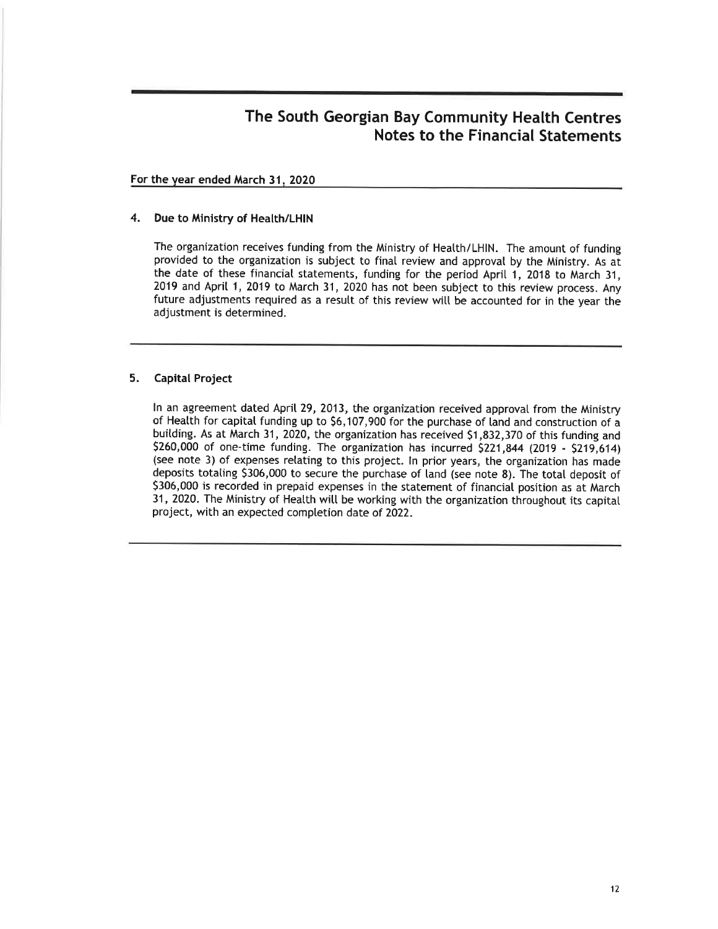#### For the vear ended March 31,2020

### 4. Due to Ministry of Health/LHIN

The organization receives funding from the Ministry of Heatth/LH|N. The amount of funding provided to the organization is subject to final review and approvat by the Ministry. As at the date of these financial statements, funding for the period April 1, 2018 to March 31, 2019 and April 1, 2019 to March 31, 2020 has not been subject to this review process. Any future adjustments required as a resutt of this review witt be accounted for in the year the adjustment is determined.

### 5. Capitat Project

ln an agreement dated April 29, 2013, the organization received approval from the Ministry of Heatth for capital funding up to \$6,107,900 for the purchase of tand and construction of <sup>a</sup> buitding. As at March 31, 2020, the organization has received 51,832,370 of this funding and 5260,000 of one-time funding. The organization has incurred 5221,844 (2019 - 5219,614) (see note 3) of expenses relating to this project. ln prior years, the organization has made deposits totating 5306,000 to secure the purchase of land (see note 8). The totat deposit of 5306,000 is recorded in prepaid expenses in the statement of financial position as at March 31, 2020. The Ministry of Health will be working with the organization throughout its capital project, with an expected comptetion date of 2022.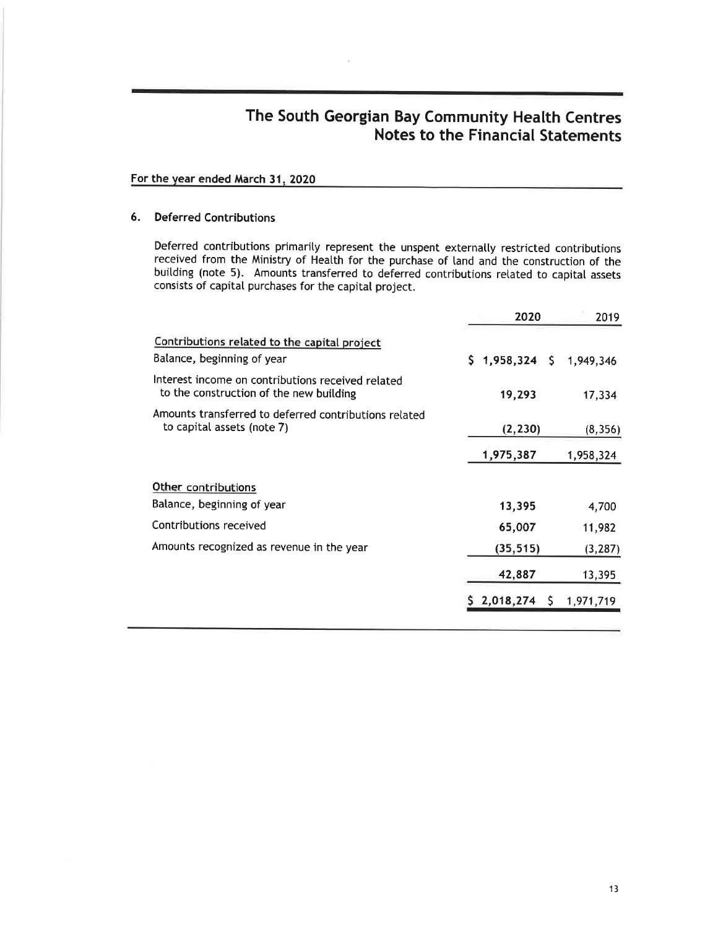### For the year ended March 31, 2020

### 6. Deferred Contributions

Deferred contributions primarily represent the unspent externally restricted contributions received from the Ministry of Heatth for the purchase of tand and the construction of the buitding (note 5). Amounts transferred to deferred contributions retated to capital assets consists of capital purchases for the capital project.

|                                                                                              | 2020                      | 2019      |
|----------------------------------------------------------------------------------------------|---------------------------|-----------|
| Contributions related to the capital project                                                 |                           |           |
| Balance, beginning of year                                                                   | $$1,958,324 \t$1,949,346$ |           |
| Interest income on contributions received related<br>to the construction of the new building | 19,293                    | 17,334    |
| Amounts transferred to deferred contributions related<br>to capital assets (note 7)          | (2, 230)                  | (8, 356)  |
|                                                                                              | 1,975,387                 | 1,958,324 |
| Other contributions                                                                          |                           |           |
| Balance, beginning of year                                                                   | 13,395                    | 4,700     |
| Contributions received                                                                       | 65,007                    | 11,982    |
| Amounts recognized as revenue in the year                                                    | (35, 515)                 | (3, 287)  |
|                                                                                              | 42,887                    | 13,395    |
|                                                                                              | $2,018,274$ \$            | 1,971,719 |
|                                                                                              |                           |           |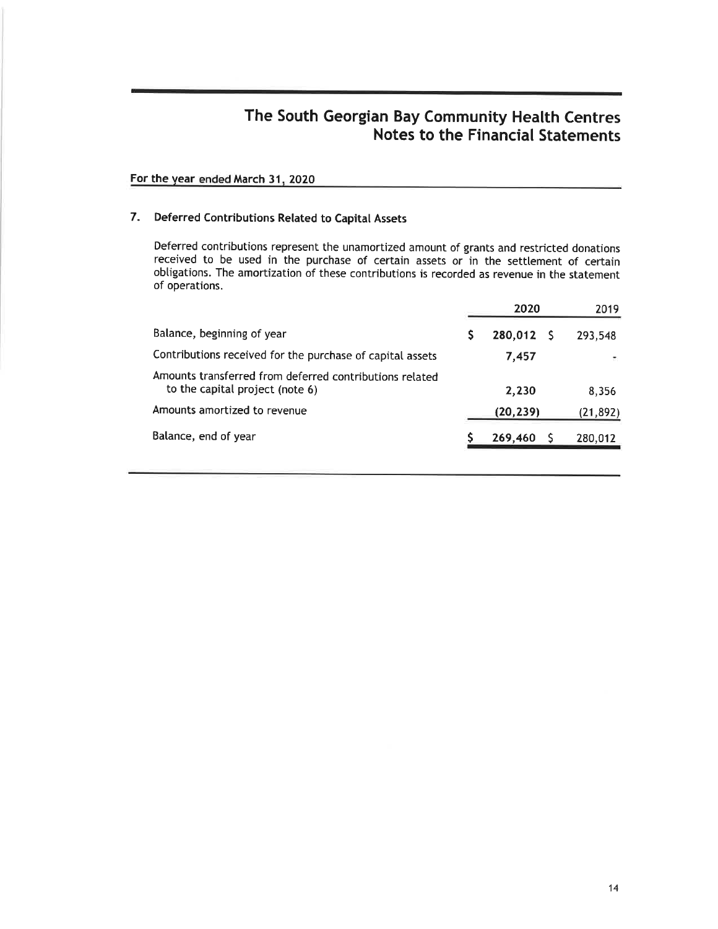### For the year ended March 31, 2020

### 7. Deferred Contributions Related to Capital Assets

Deferred contributions represent the unamortized amount of grants and restricted donations received to be used in the purchase of certain assets or in the settlement of certain obligations. The amortization of these contributions is recorded as revenue in the statement of operations.

|                                                                                            | 2020      | 2019      |
|--------------------------------------------------------------------------------------------|-----------|-----------|
| Balance, beginning of year                                                                 | 280,012   | 293,548   |
| Contributions received for the purchase of capital assets                                  | 7,457     |           |
| Amounts transferred from deferred contributions related<br>to the capital project (note 6) | 2,230     | 8,356     |
| Amounts amortized to revenue                                                               | (20, 239) | (21, 892) |
| Balance, end of year                                                                       | 269,460   | 280,012   |
|                                                                                            |           |           |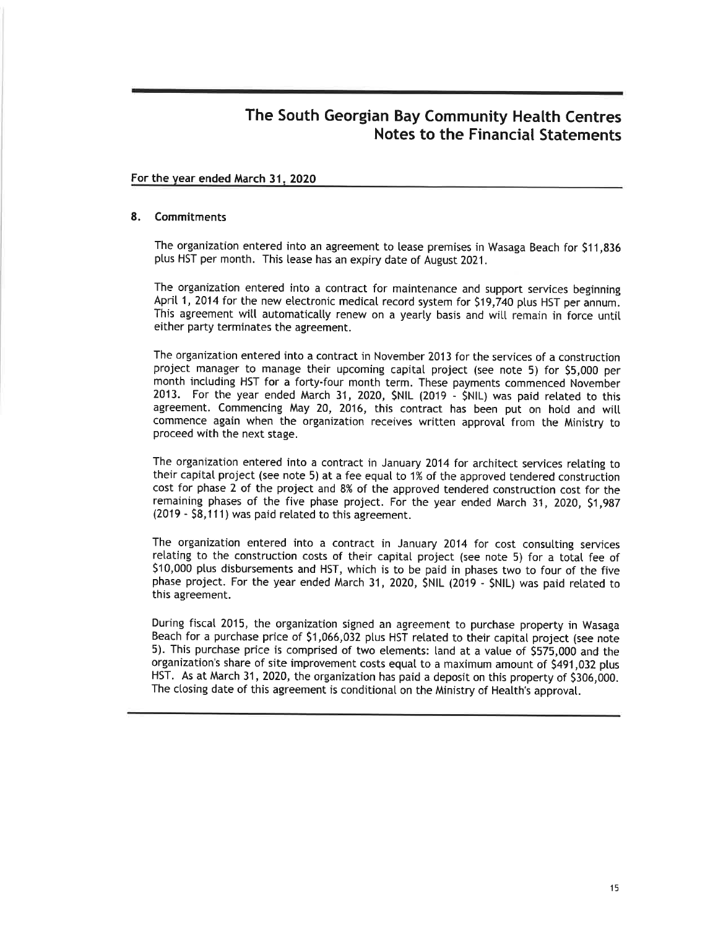#### For the vear ended March 31.2020

#### 8. Commitments

The organization entered into an agreement to lease premises in Wasaga Beach for 511,836 ptus HST per month. This tease has an expiry date of August 2021.

The organization entered into a contract for maintenance and support services beginning April 1, 2014 for the new electronic medical record system for \$19,740 plus HST per annum. This agreement witl automaticatly renew on a yearty basis and witl remain in force untit either party terminates the agreement.

The organization entered into a contract in November 2013 for the services of a construction project manager to manage their upcoming capital project (see note 5) for 55,000 per month including HST for a forty-four month term. These payments commenced November 2013. For the year ended March 31, 2020, \$NIL (2019 - \$NIL) was paid related to this agreement. Commencing May 20, 2016, this contract has been put on hold and will commence again when the organization receives written approval from the Ministry to proceed with the next stage.

The organization entered into a contract in January 2014 for architect services relating to their capital project (see note 5) at a fee equal to 1% of the approved tendered construction cost for phase 2 of the project and 8% of the approved tendered construction cost for the remaining phases of the five phase project. For the year ended March 31, 2020, \$1,987 (2019 - 58,111) was paid retated to this agreement.

The organization entered into a contract in January 2014 for cost consutting services relating to the construction costs of their capitat project (see note 5) for a total fee of 510,000 plus disbursements and HST, which is to be paid in phases two to four of the five phase project. For the year ended March 31, 2020, \$NIL (2019 - \$NIL) was paid related to this agreement.

During fiscat 2015, the organization signed an agreement to purchase property in Wasaga Beach for a purchase price of \$1,066,032 plus HST related to their capital project (see note 5). This purchase price is comprised of two etements: [and at a vatue of 5575,000 and the organization's share of site improvement costs equal to a maximum amount of 5491 ,032 ptus HST. As at March 31, 2020, the organization has paid a deposit on this property of \$306,000. The closing date of this agreement is conditional on the Ministry of Health's approval.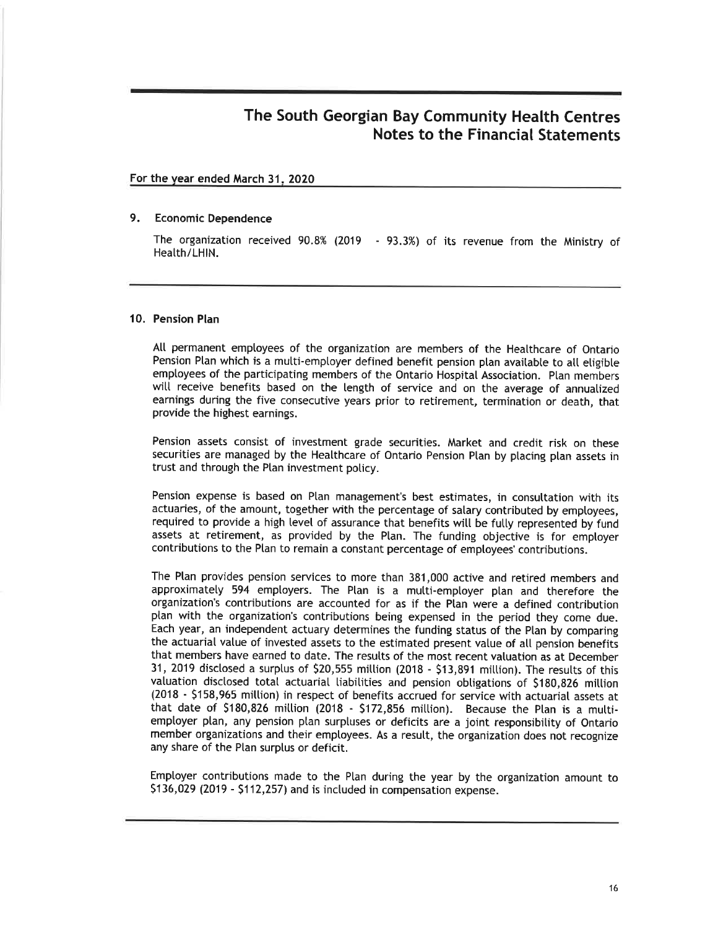#### For the vear ended March 31.2020

#### 9. Economic Dependence

The organization received 90.8% (2019 - 93.3%l of its revenue from the Ministry of Heatth/LHlN.

#### 10. Pension Plan

All permanent employees of the organization are members of the Healthcare of Ontario Pension Plan which is a multi-employer defined benefit pension plan available to all eligible employees of the participating members of the Ontario Hospital Association. Plan members witl receive benefits based on the tength of service and on the average of annuatized earnings during the five consecutive years prior to retirement, termination or death, that provide the highest earnings.

Pension assets consist of investment grade securities. Market and credit risk on these securities are managed by the Healthcare of Ontario Pension Plan by placing plan assets in trust and through the Plan investment policy.

Pension expense is based on Plan management's best estimates, in consultation with its actuaries, of the amount, together with the percentage of salary contributed by emptoyees, required to provide a high level of assurance that benefits will be fully represented by fund assets at retirement, as provided by the Plan. The funding objective is for emptoyer contributions to the Plan to remain a constant percentage of employees' contributions.

The Ptan provides pension services to more than 381 ,000 active and retired members and approximately 594 employers. The Plan is a multi-employer plan and therefore the organization's contributions are accounted for as if the Ptan were a defined contribution ptan with the organization's contributions being expensed in the period they come due. Each year, an independent actuary determines the funding status of the Plan by comparing the actuarial value of invested assets to the estimated present value of all pension benefits that members have earned to date. The resutts of the most recent vatuation as at December 31, 2019 disclosed a surplus of \$20,555 million (2018 - \$13,891 million). The results of this valuation disclosed total actuarial liabilities and pension obligations of \$180,826 million  $(2018 - $158,965$  million) in respect of benefits accrued for service with actuarial assets at that date of  $$180,826$  million  $(2018 - $172,856$  million). Because the Plan is a multiemployer plan, any pension plan surpluses or deficits are a joint responsibility of Ontario member organizations and their employees. As a result, the organization does not recognize any share of the Plan surplus or deficit.

Emptoyer contributions made to the Ptan during the year by the organization amount to 5136,029 (2019 - 5112,257) and is inctuded in compensation expense.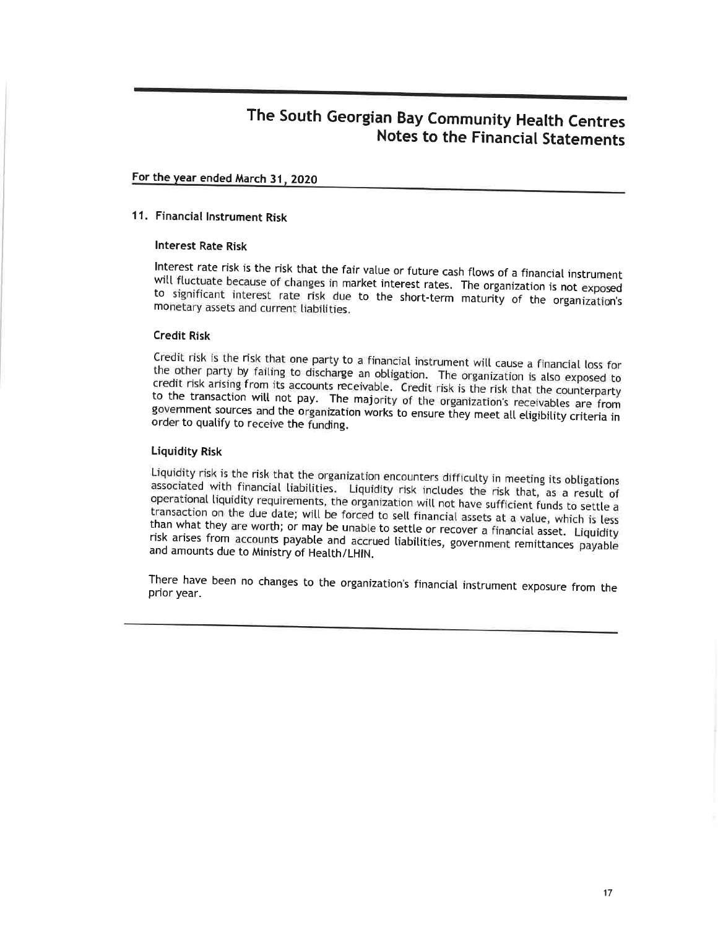### For the year ended March 31, 2020

### <sup>1</sup>1. Financial Instrument Risk

#### lnterest Rate Risk

Interest rate risk is the risk that the fair value or future cash flows of a financial instrument will fluctuate because of changes in market interest rates. The organization is not exposed to significant interest rate ris

#### Credit Risk

Credit risk is the risk that one party to a financial instrument will cause a financial loss for<br>the other party by failing to discharge an obligation. The organization is also exposed to<br>credit risk arising from its accou government sources and the organization works to ensure they meet all eligibility criteria in order to qualify to receive the funding. to the transaction will not pay. The majority of the organization's receivables are from

### Liquidity Risk

Liquidity risk is the risk that the organization encounters difficulty in meeting its obligations<br>associated with financial liabilities. Liquidity risk includes the risk that, as a result of<br>operational liquidity requireme than what they are worth; or may be unable to settle or recover a financial asset. Liquidity risk arises from accounts payable and accrued liabilities, government remittances payable and amounts due to Ministry of Health/L

There have been no changes to the organization's financial instrument exposure from the prior year.